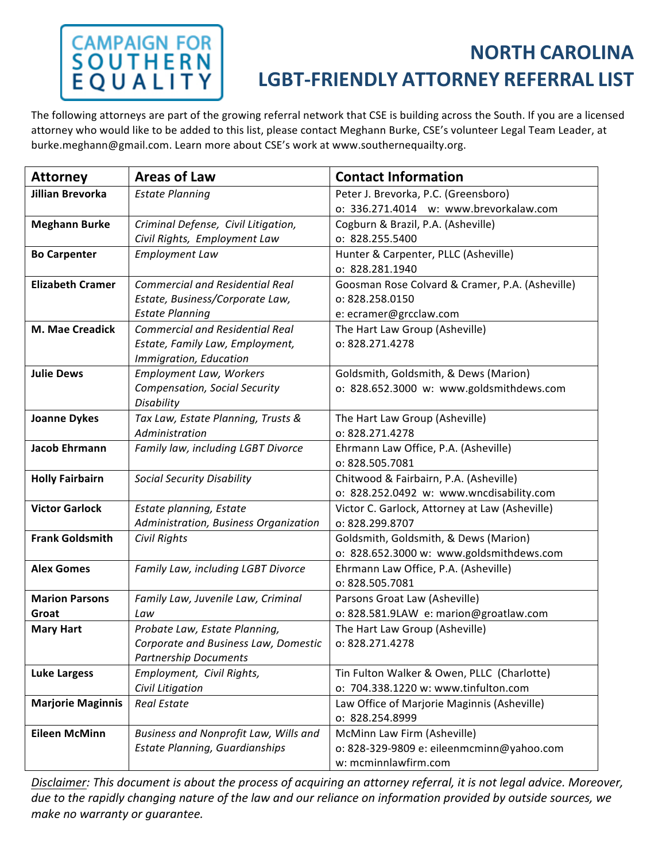# **CAMPAIGN FOR<br>SOUTHERN<br>EQUALITY**

### **NORTH CAROLINA LGBT‐FRIENDLY ATTORNEY REFERRAL LIST**

The following attorneys are part of the growing referral network that CSE is building across the South. If you are a licensed attorney who would like to be added to this list, please contact Meghann Burke, CSE's volunteer Legal Team Leader, at burke.meghann@gmail.com. Learn more about CSE's work at www.southernequailty.org.

| <b>Attorney</b>          | <b>Areas of Law</b>                    | <b>Contact Information</b>                      |
|--------------------------|----------------------------------------|-------------------------------------------------|
| <b>Jillian Brevorka</b>  | <b>Estate Planning</b>                 | Peter J. Brevorka, P.C. (Greensboro)            |
|                          |                                        | o: 336.271.4014 w: www.brevorkalaw.com          |
| <b>Meghann Burke</b>     | Criminal Defense, Civil Litigation,    | Cogburn & Brazil, P.A. (Asheville)              |
|                          | Civil Rights, Employment Law           | o: 828.255.5400                                 |
| <b>Bo Carpenter</b>      | <b>Employment Law</b>                  | Hunter & Carpenter, PLLC (Asheville)            |
|                          |                                        | o: 828.281.1940                                 |
| <b>Elizabeth Cramer</b>  | <b>Commercial and Residential Real</b> | Goosman Rose Colvard & Cramer, P.A. (Asheville) |
|                          | Estate, Business/Corporate Law,        | o: 828.258.0150                                 |
|                          | <b>Estate Planning</b>                 | e: ecramer@grcclaw.com                          |
| M. Mae Creadick          | <b>Commercial and Residential Real</b> | The Hart Law Group (Asheville)                  |
|                          | Estate, Family Law, Employment,        | 0:828.271.4278                                  |
|                          | Immigration, Education                 |                                                 |
| <b>Julie Dews</b>        | <b>Employment Law, Workers</b>         | Goldsmith, Goldsmith, & Dews (Marion)           |
|                          | Compensation, Social Security          | o: 828.652.3000 w: www.goldsmithdews.com        |
|                          | Disability                             |                                                 |
| <b>Joanne Dykes</b>      | Tax Law, Estate Planning, Trusts &     | The Hart Law Group (Asheville)                  |
|                          | Administration                         | 0:828.271.4278                                  |
| Jacob Ehrmann            | Family law, including LGBT Divorce     | Ehrmann Law Office, P.A. (Asheville)            |
|                          |                                        | o: 828.505.7081                                 |
| <b>Holly Fairbairn</b>   | <b>Social Security Disability</b>      | Chitwood & Fairbairn, P.A. (Asheville)          |
|                          |                                        | o: 828.252.0492 w: www.wncdisability.com        |
| <b>Victor Garlock</b>    | Estate planning, Estate                | Victor C. Garlock, Attorney at Law (Asheville)  |
|                          | Administration, Business Organization  | o: 828.299.8707                                 |
| <b>Frank Goldsmith</b>   | Civil Rights                           | Goldsmith, Goldsmith, & Dews (Marion)           |
|                          |                                        | o: 828.652.3000 w: www.goldsmithdews.com        |
| <b>Alex Gomes</b>        | Family Law, including LGBT Divorce     | Ehrmann Law Office, P.A. (Asheville)            |
|                          |                                        | o: 828.505.7081                                 |
| <b>Marion Parsons</b>    | Family Law, Juvenile Law, Criminal     | Parsons Groat Law (Asheville)                   |
| Groat                    | Law                                    | o: 828.581.9LAW e: marion@groatlaw.com          |
| <b>Mary Hart</b>         | Probate Law, Estate Planning,          | The Hart Law Group (Asheville)                  |
|                          | Corporate and Business Law, Domestic   | 0:828.271.4278                                  |
|                          | <b>Partnership Documents</b>           |                                                 |
| <b>Luke Largess</b>      | Employment, Civil Rights,              | Tin Fulton Walker & Owen, PLLC (Charlotte)      |
|                          | Civil Litigation                       | o: 704.338.1220 w: www.tinfulton.com            |
| <b>Marjorie Maginnis</b> | <b>Real Estate</b>                     | Law Office of Marjorie Maginnis (Asheville)     |
|                          |                                        | o: 828.254.8999                                 |
| <b>Eileen McMinn</b>     | Business and Nonprofit Law, Wills and  | McMinn Law Firm (Asheville)                     |
|                          | <b>Estate Planning, Guardianships</b>  | o: 828-329-9809 e: eileenmcminn@yahoo.com       |
|                          |                                        | w: mcminnlawfirm.com                            |

*Disclaimer: This document is about the process of acquiring an attorney referral, it is not legal advice. Moreover, due to the rapidly changing nature of the law and our reliance on information provided by outside sources, we make no warranty or guarantee.*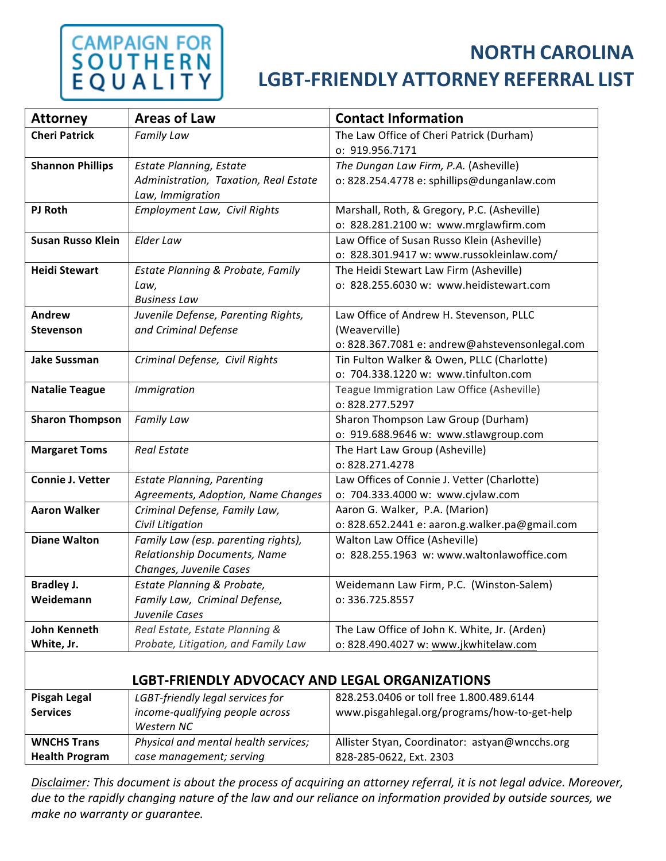### **CAMPAIGN FOR<br>S Q U T H E R N** E<sub>Q</sub>

#### **NORTH CAROLINA**

#### **LGBT‐FRIENDLY ATTORNEY REFERRAL LIST**

| <b>Attorney</b>          | <b>Areas of Law</b>                            | <b>Contact Information</b>                     |
|--------------------------|------------------------------------------------|------------------------------------------------|
| <b>Cheri Patrick</b>     | <b>Family Law</b>                              | The Law Office of Cheri Patrick (Durham)       |
|                          |                                                | o: 919.956.7171                                |
| <b>Shannon Phillips</b>  | <b>Estate Planning, Estate</b>                 | The Dungan Law Firm, P.A. (Asheville)          |
|                          | Administration, Taxation, Real Estate          | o: 828.254.4778 e: sphillips@dunganlaw.com     |
|                          | Law, Immigration                               |                                                |
| <b>PJ Roth</b>           | Employment Law, Civil Rights                   | Marshall, Roth, & Gregory, P.C. (Asheville)    |
|                          |                                                | o: 828.281.2100 w: www.mrglawfirm.com          |
| <b>Susan Russo Klein</b> | Elder Law                                      | Law Office of Susan Russo Klein (Asheville)    |
|                          |                                                | o: 828.301.9417 w: www.russokleinlaw.com/      |
| <b>Heidi Stewart</b>     | Estate Planning & Probate, Family              | The Heidi Stewart Law Firm (Asheville)         |
|                          | Law,                                           | o: 828.255.6030 w: www.heidistewart.com        |
|                          | <b>Business Law</b>                            |                                                |
| Andrew                   | Juvenile Defense, Parenting Rights,            | Law Office of Andrew H. Stevenson, PLLC        |
| <b>Stevenson</b>         | and Criminal Defense                           | (Weaverville)                                  |
|                          |                                                | o: 828.367.7081 e: andrew@ahstevensonlegal.com |
| <b>Jake Sussman</b>      | Criminal Defense, Civil Rights                 | Tin Fulton Walker & Owen, PLLC (Charlotte)     |
|                          |                                                | o: 704.338.1220 w: www.tinfulton.com           |
| <b>Natalie Teague</b>    | Immigration                                    | Teague Immigration Law Office (Asheville)      |
|                          |                                                | 0:828.277.5297                                 |
| <b>Sharon Thompson</b>   | <b>Family Law</b>                              | Sharon Thompson Law Group (Durham)             |
|                          |                                                | o: 919.688.9646 w: www.stlawgroup.com          |
| <b>Margaret Toms</b>     | <b>Real Estate</b>                             | The Hart Law Group (Asheville)                 |
|                          |                                                | 0:828.271.4278                                 |
| <b>Connie J. Vetter</b>  | <b>Estate Planning, Parenting</b>              | Law Offices of Connie J. Vetter (Charlotte)    |
|                          | Agreements, Adoption, Name Changes             | o: 704.333.4000 w: www.cjvlaw.com              |
| <b>Aaron Walker</b>      | Criminal Defense, Family Law,                  | Aaron G. Walker, P.A. (Marion)                 |
|                          | Civil Litigation                               | o: 828.652.2441 e: aaron.g.walker.pa@gmail.com |
| <b>Diane Walton</b>      | Family Law (esp. parenting rights),            | Walton Law Office (Asheville)                  |
|                          | Relationship Documents, Name                   | o: 828.255.1963 w: www.waltonlawoffice.com     |
|                          | Changes, Juvenile Cases                        |                                                |
| <b>Bradley J.</b>        | <b>Estate Planning &amp; Probate,</b>          | Weidemann Law Firm, P.C. (Winston-Salem)       |
| Weidemann                | Family Law, Criminal Defense,                  | o: 336.725.8557                                |
|                          | Juvenile Cases                                 |                                                |
| John Kenneth             | Real Estate, Estate Planning &                 | The Law Office of John K. White, Jr. (Arden)   |
| White, Jr.               | Probate, Litigation, and Family Law            | o: 828.490.4027 w: www.jkwhitelaw.com          |
|                          |                                                |                                                |
|                          | LGBT-FRIENDLY ADVOCACY AND LEGAL ORGANIZATIONS |                                                |
| <b>Pisgah Legal</b>      | LGBT-friendly legal services for               | 828.253.0406 or toll free 1.800.489.6144       |
| <b>Services</b>          | income-qualifying people across                | www.pisgahlegal.org/programs/how-to-get-help   |
|                          | Western NC                                     |                                                |
| <b>WNCHS Trans</b>       | Physical and mental health services;           | Allister Styan, Coordinator: astyan@wncchs.org |
| <b>Health Program</b>    | case management; serving                       | 828-285-0622, Ext. 2303                        |

*Disclaimer: This document is about the process of acquiring an attorney referral, it is not legal advice. Moreover, due to the rapidly changing nature of the law and our reliance on information provided by outside sources, we make no warranty or guarantee.*